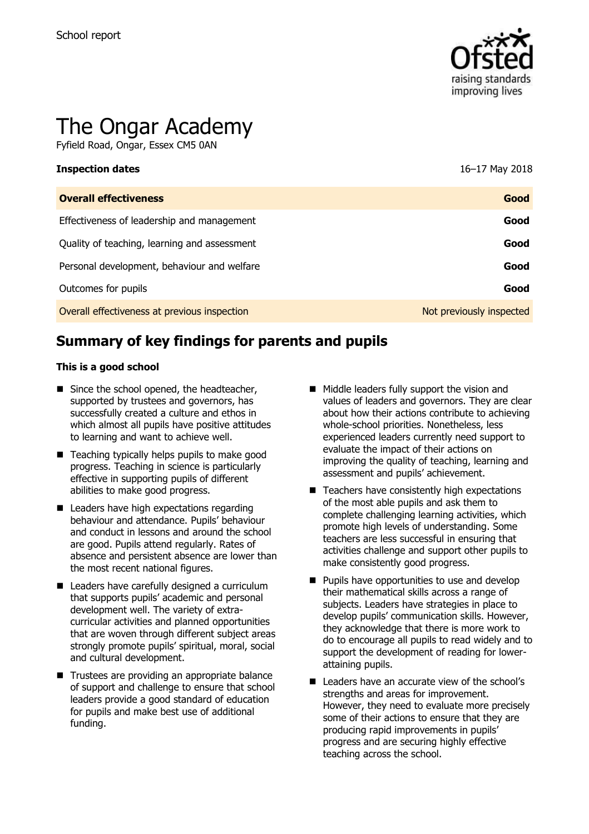

# The Ongar Academy

Fyfield Road, Ongar, Essex CM5 0AN

| <b>Inspection dates</b>                      | 16-17 May 2018           |
|----------------------------------------------|--------------------------|
| <b>Overall effectiveness</b>                 | Good                     |
| Effectiveness of leadership and management   | Good                     |
| Quality of teaching, learning and assessment | Good                     |
| Personal development, behaviour and welfare  | Good                     |
| Outcomes for pupils                          | Good                     |
| Overall effectiveness at previous inspection | Not previously inspected |

# **Summary of key findings for parents and pupils**

#### **This is a good school**

- Since the school opened, the headteacher, supported by trustees and governors, has successfully created a culture and ethos in which almost all pupils have positive attitudes to learning and want to achieve well.
- Teaching typically helps pupils to make good progress. Teaching in science is particularly effective in supporting pupils of different abilities to make good progress.
- Leaders have high expectations regarding behaviour and attendance. Pupils' behaviour and conduct in lessons and around the school are good. Pupils attend regularly. Rates of absence and persistent absence are lower than the most recent national figures.
- Leaders have carefully designed a curriculum that supports pupils' academic and personal development well. The variety of extracurricular activities and planned opportunities that are woven through different subject areas strongly promote pupils' spiritual, moral, social and cultural development.
- Trustees are providing an appropriate balance of support and challenge to ensure that school leaders provide a good standard of education for pupils and make best use of additional funding.
- Middle leaders fully support the vision and values of leaders and governors. They are clear about how their actions contribute to achieving whole-school priorities. Nonetheless, less experienced leaders currently need support to evaluate the impact of their actions on improving the quality of teaching, learning and assessment and pupils' achievement.
- $\blacksquare$  Teachers have consistently high expectations of the most able pupils and ask them to complete challenging learning activities, which promote high levels of understanding. Some teachers are less successful in ensuring that activities challenge and support other pupils to make consistently good progress.
- $\blacksquare$  Pupils have opportunities to use and develop their mathematical skills across a range of subjects. Leaders have strategies in place to develop pupils' communication skills. However, they acknowledge that there is more work to do to encourage all pupils to read widely and to support the development of reading for lowerattaining pupils.
- Leaders have an accurate view of the school's strengths and areas for improvement. However, they need to evaluate more precisely some of their actions to ensure that they are producing rapid improvements in pupils' progress and are securing highly effective teaching across the school.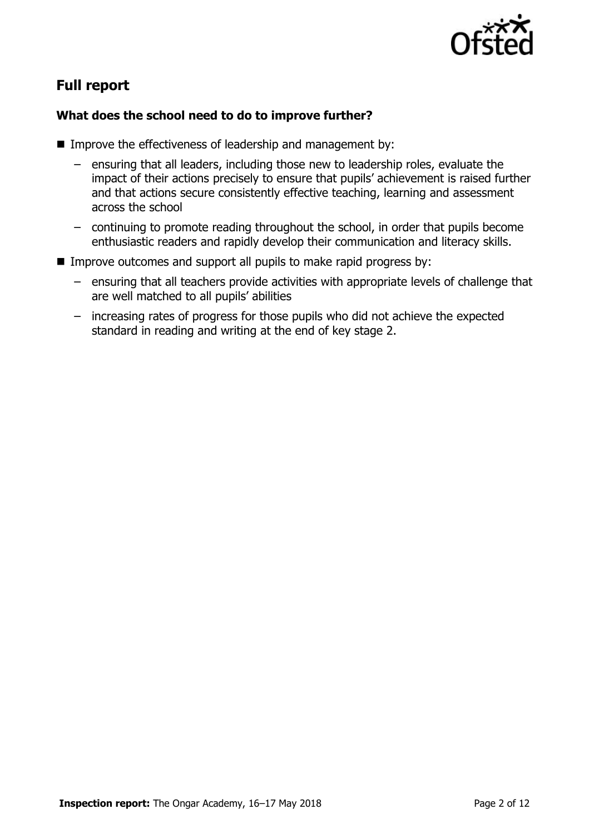

# **Full report**

### **What does the school need to do to improve further?**

- Improve the effectiveness of leadership and management by:
	- ensuring that all leaders, including those new to leadership roles, evaluate the impact of their actions precisely to ensure that pupils' achievement is raised further and that actions secure consistently effective teaching, learning and assessment across the school
	- continuing to promote reading throughout the school, in order that pupils become enthusiastic readers and rapidly develop their communication and literacy skills.
- **IMPROVE OUTCOMES AND SUPPORT AND PUPILS TO MAKE RAPID PROJECTS BY:** 
	- ensuring that all teachers provide activities with appropriate levels of challenge that are well matched to all pupils' abilities
	- increasing rates of progress for those pupils who did not achieve the expected standard in reading and writing at the end of key stage 2.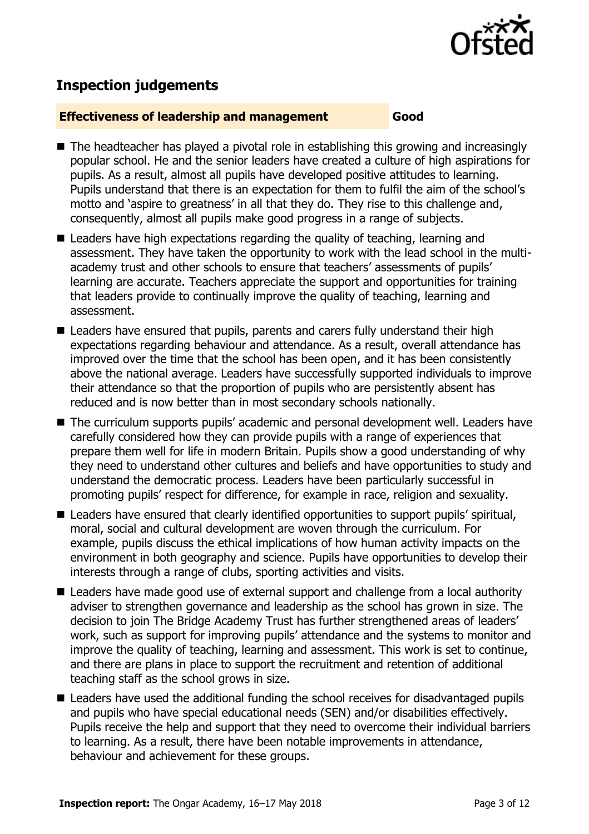

## **Inspection judgements**

#### **Effectiveness of leadership and management Good**

- The headteacher has played a pivotal role in establishing this growing and increasingly popular school. He and the senior leaders have created a culture of high aspirations for pupils. As a result, almost all pupils have developed positive attitudes to learning. Pupils understand that there is an expectation for them to fulfil the aim of the school's motto and 'aspire to greatness' in all that they do. They rise to this challenge and, consequently, almost all pupils make good progress in a range of subjects.
- Leaders have high expectations regarding the quality of teaching, learning and assessment. They have taken the opportunity to work with the lead school in the multiacademy trust and other schools to ensure that teachers' assessments of pupils' learning are accurate. Teachers appreciate the support and opportunities for training that leaders provide to continually improve the quality of teaching, learning and assessment.
- Leaders have ensured that pupils, parents and carers fully understand their high expectations regarding behaviour and attendance. As a result, overall attendance has improved over the time that the school has been open, and it has been consistently above the national average. Leaders have successfully supported individuals to improve their attendance so that the proportion of pupils who are persistently absent has reduced and is now better than in most secondary schools nationally.
- The curriculum supports pupils' academic and personal development well. Leaders have carefully considered how they can provide pupils with a range of experiences that prepare them well for life in modern Britain. Pupils show a good understanding of why they need to understand other cultures and beliefs and have opportunities to study and understand the democratic process. Leaders have been particularly successful in promoting pupils' respect for difference, for example in race, religion and sexuality.
- Leaders have ensured that clearly identified opportunities to support pupils' spiritual, moral, social and cultural development are woven through the curriculum. For example, pupils discuss the ethical implications of how human activity impacts on the environment in both geography and science. Pupils have opportunities to develop their interests through a range of clubs, sporting activities and visits.
- Leaders have made good use of external support and challenge from a local authority adviser to strengthen governance and leadership as the school has grown in size. The decision to join The Bridge Academy Trust has further strengthened areas of leaders' work, such as support for improving pupils' attendance and the systems to monitor and improve the quality of teaching, learning and assessment. This work is set to continue, and there are plans in place to support the recruitment and retention of additional teaching staff as the school grows in size.
- Leaders have used the additional funding the school receives for disadvantaged pupils and pupils who have special educational needs (SEN) and/or disabilities effectively. Pupils receive the help and support that they need to overcome their individual barriers to learning. As a result, there have been notable improvements in attendance, behaviour and achievement for these groups.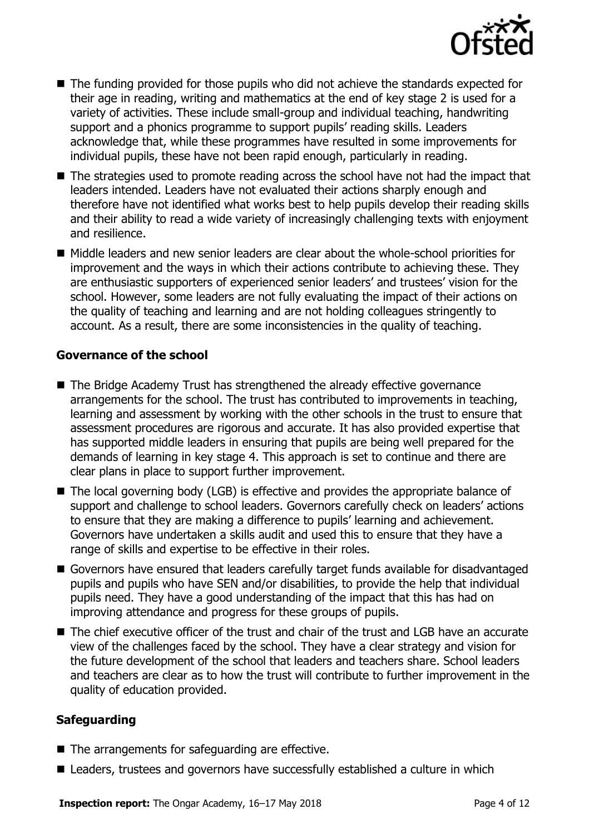

- The funding provided for those pupils who did not achieve the standards expected for their age in reading, writing and mathematics at the end of key stage 2 is used for a variety of activities. These include small-group and individual teaching, handwriting support and a phonics programme to support pupils' reading skills. Leaders acknowledge that, while these programmes have resulted in some improvements for individual pupils, these have not been rapid enough, particularly in reading.
- The strategies used to promote reading across the school have not had the impact that leaders intended. Leaders have not evaluated their actions sharply enough and therefore have not identified what works best to help pupils develop their reading skills and their ability to read a wide variety of increasingly challenging texts with enjoyment and resilience.
- Middle leaders and new senior leaders are clear about the whole-school priorities for improvement and the ways in which their actions contribute to achieving these. They are enthusiastic supporters of experienced senior leaders' and trustees' vision for the school. However, some leaders are not fully evaluating the impact of their actions on the quality of teaching and learning and are not holding colleagues stringently to account. As a result, there are some inconsistencies in the quality of teaching.

#### **Governance of the school**

- The Bridge Academy Trust has strengthened the already effective governance arrangements for the school. The trust has contributed to improvements in teaching, learning and assessment by working with the other schools in the trust to ensure that assessment procedures are rigorous and accurate. It has also provided expertise that has supported middle leaders in ensuring that pupils are being well prepared for the demands of learning in key stage 4. This approach is set to continue and there are clear plans in place to support further improvement.
- The local governing body (LGB) is effective and provides the appropriate balance of support and challenge to school leaders. Governors carefully check on leaders' actions to ensure that they are making a difference to pupils' learning and achievement. Governors have undertaken a skills audit and used this to ensure that they have a range of skills and expertise to be effective in their roles.
- Governors have ensured that leaders carefully target funds available for disadvantaged pupils and pupils who have SEN and/or disabilities, to provide the help that individual pupils need. They have a good understanding of the impact that this has had on improving attendance and progress for these groups of pupils.
- The chief executive officer of the trust and chair of the trust and LGB have an accurate view of the challenges faced by the school. They have a clear strategy and vision for the future development of the school that leaders and teachers share. School leaders and teachers are clear as to how the trust will contribute to further improvement in the quality of education provided.

#### **Safeguarding**

- The arrangements for safeguarding are effective.
- Leaders, trustees and governors have successfully established a culture in which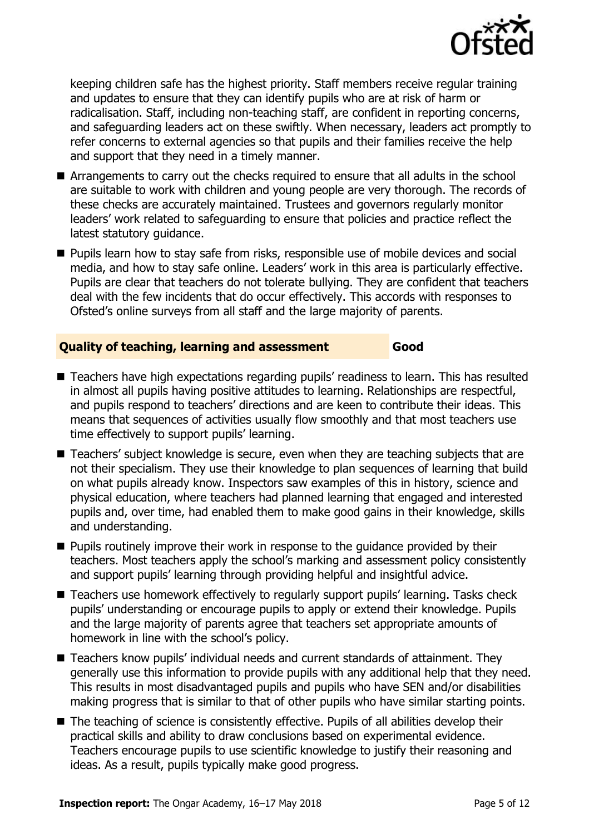

keeping children safe has the highest priority. Staff members receive regular training and updates to ensure that they can identify pupils who are at risk of harm or radicalisation. Staff, including non-teaching staff, are confident in reporting concerns, and safeguarding leaders act on these swiftly. When necessary, leaders act promptly to refer concerns to external agencies so that pupils and their families receive the help and support that they need in a timely manner.

- Arrangements to carry out the checks required to ensure that all adults in the school are suitable to work with children and young people are very thorough. The records of these checks are accurately maintained. Trustees and governors regularly monitor leaders' work related to safeguarding to ensure that policies and practice reflect the latest statutory quidance.
- **Pupils learn how to stay safe from risks, responsible use of mobile devices and social** media, and how to stay safe online. Leaders' work in this area is particularly effective. Pupils are clear that teachers do not tolerate bullying. They are confident that teachers deal with the few incidents that do occur effectively. This accords with responses to Ofsted's online surveys from all staff and the large majority of parents.

#### **Quality of teaching, learning and assessment Good**

- Teachers have high expectations regarding pupils' readiness to learn. This has resulted in almost all pupils having positive attitudes to learning. Relationships are respectful, and pupils respond to teachers' directions and are keen to contribute their ideas. This means that sequences of activities usually flow smoothly and that most teachers use time effectively to support pupils' learning.
- Teachers' subject knowledge is secure, even when they are teaching subjects that are not their specialism. They use their knowledge to plan sequences of learning that build on what pupils already know. Inspectors saw examples of this in history, science and physical education, where teachers had planned learning that engaged and interested pupils and, over time, had enabled them to make good gains in their knowledge, skills and understanding.
- **Pupils routinely improve their work in response to the quidance provided by their** teachers. Most teachers apply the school's marking and assessment policy consistently and support pupils' learning through providing helpful and insightful advice.
- Teachers use homework effectively to regularly support pupils' learning. Tasks check pupils' understanding or encourage pupils to apply or extend their knowledge. Pupils and the large majority of parents agree that teachers set appropriate amounts of homework in line with the school's policy.
- Teachers know pupils' individual needs and current standards of attainment. They generally use this information to provide pupils with any additional help that they need. This results in most disadvantaged pupils and pupils who have SEN and/or disabilities making progress that is similar to that of other pupils who have similar starting points.
- The teaching of science is consistently effective. Pupils of all abilities develop their practical skills and ability to draw conclusions based on experimental evidence. Teachers encourage pupils to use scientific knowledge to justify their reasoning and ideas. As a result, pupils typically make good progress.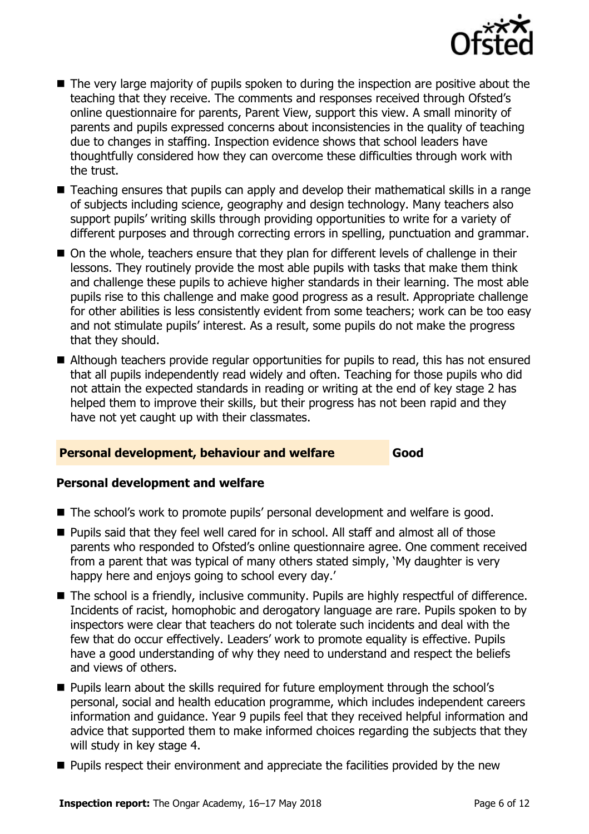

- The very large majority of pupils spoken to during the inspection are positive about the teaching that they receive. The comments and responses received through Ofsted's online questionnaire for parents, Parent View, support this view. A small minority of parents and pupils expressed concerns about inconsistencies in the quality of teaching due to changes in staffing. Inspection evidence shows that school leaders have thoughtfully considered how they can overcome these difficulties through work with the trust.
- Teaching ensures that pupils can apply and develop their mathematical skills in a range of subjects including science, geography and design technology. Many teachers also support pupils' writing skills through providing opportunities to write for a variety of different purposes and through correcting errors in spelling, punctuation and grammar.
- On the whole, teachers ensure that they plan for different levels of challenge in their lessons. They routinely provide the most able pupils with tasks that make them think and challenge these pupils to achieve higher standards in their learning. The most able pupils rise to this challenge and make good progress as a result. Appropriate challenge for other abilities is less consistently evident from some teachers; work can be too easy and not stimulate pupils' interest. As a result, some pupils do not make the progress that they should.
- Although teachers provide regular opportunities for pupils to read, this has not ensured that all pupils independently read widely and often. Teaching for those pupils who did not attain the expected standards in reading or writing at the end of key stage 2 has helped them to improve their skills, but their progress has not been rapid and they have not yet caught up with their classmates.

#### **Personal development, behaviour and welfare Good**

#### **Personal development and welfare**

- The school's work to promote pupils' personal development and welfare is good.
- Pupils said that they feel well cared for in school. All staff and almost all of those parents who responded to Ofsted's online questionnaire agree. One comment received from a parent that was typical of many others stated simply, 'My daughter is very happy here and enjoys going to school every day.'
- The school is a friendly, inclusive community. Pupils are highly respectful of difference. Incidents of racist, homophobic and derogatory language are rare. Pupils spoken to by inspectors were clear that teachers do not tolerate such incidents and deal with the few that do occur effectively. Leaders' work to promote equality is effective. Pupils have a good understanding of why they need to understand and respect the beliefs and views of others.
- **Pupils learn about the skills required for future employment through the school's** personal, social and health education programme, which includes independent careers information and guidance. Year 9 pupils feel that they received helpful information and advice that supported them to make informed choices regarding the subjects that they will study in key stage 4.
- **Pupils respect their environment and appreciate the facilities provided by the new**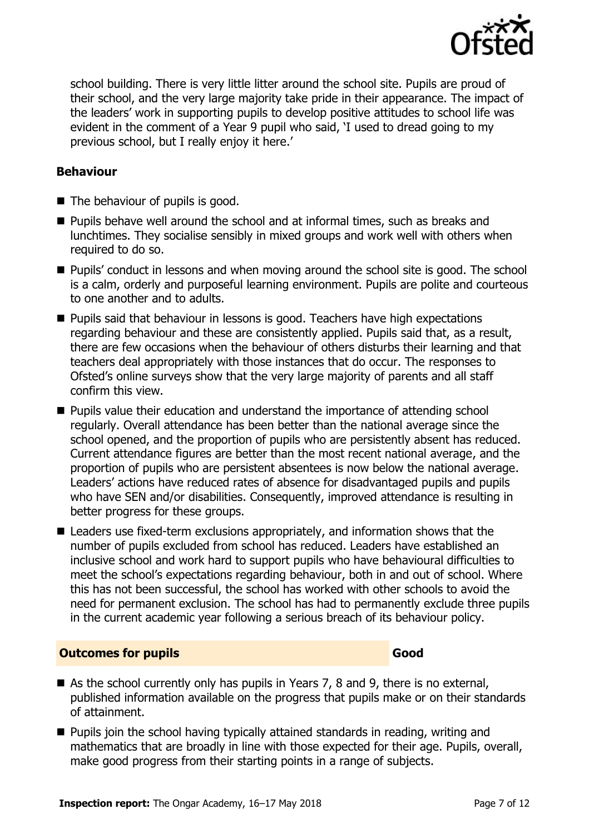

school building. There is very little litter around the school site. Pupils are proud of their school, and the very large majority take pride in their appearance. The impact of the leaders' work in supporting pupils to develop positive attitudes to school life was evident in the comment of a Year 9 pupil who said, 'I used to dread going to my previous school, but I really enjoy it here.'

#### **Behaviour**

- The behaviour of pupils is good.
- Pupils behave well around the school and at informal times, such as breaks and lunchtimes. They socialise sensibly in mixed groups and work well with others when required to do so.
- **Pupils'** conduct in lessons and when moving around the school site is good. The school is a calm, orderly and purposeful learning environment. Pupils are polite and courteous to one another and to adults.
- **Pupils said that behaviour in lessons is good. Teachers have high expectations** regarding behaviour and these are consistently applied. Pupils said that, as a result, there are few occasions when the behaviour of others disturbs their learning and that teachers deal appropriately with those instances that do occur. The responses to Ofsted's online surveys show that the very large majority of parents and all staff confirm this view.
- **Pupils value their education and understand the importance of attending school** regularly. Overall attendance has been better than the national average since the school opened, and the proportion of pupils who are persistently absent has reduced. Current attendance figures are better than the most recent national average, and the proportion of pupils who are persistent absentees is now below the national average. Leaders' actions have reduced rates of absence for disadvantaged pupils and pupils who have SEN and/or disabilities. Consequently, improved attendance is resulting in better progress for these groups.
- Leaders use fixed-term exclusions appropriately, and information shows that the number of pupils excluded from school has reduced. Leaders have established an inclusive school and work hard to support pupils who have behavioural difficulties to meet the school's expectations regarding behaviour, both in and out of school. Where this has not been successful, the school has worked with other schools to avoid the need for permanent exclusion. The school has had to permanently exclude three pupils in the current academic year following a serious breach of its behaviour policy.

#### **Outcomes for pupils Good**

- As the school currently only has pupils in Years 7, 8 and 9, there is no external, published information available on the progress that pupils make or on their standards of attainment.
- **Pupils join the school having typically attained standards in reading, writing and** mathematics that are broadly in line with those expected for their age. Pupils, overall, make good progress from their starting points in a range of subjects.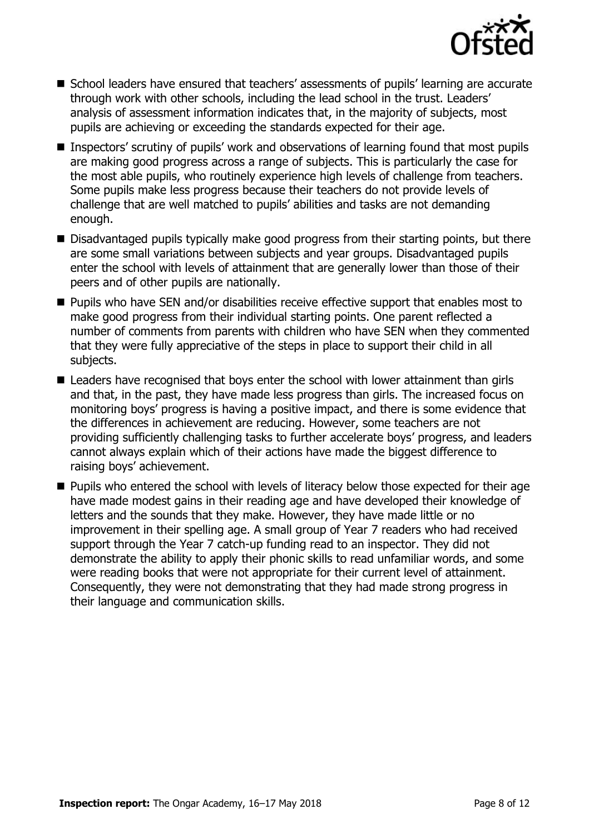

- School leaders have ensured that teachers' assessments of pupils' learning are accurate through work with other schools, including the lead school in the trust. Leaders' analysis of assessment information indicates that, in the majority of subjects, most pupils are achieving or exceeding the standards expected for their age.
- Inspectors' scrutiny of pupils' work and observations of learning found that most pupils are making good progress across a range of subjects. This is particularly the case for the most able pupils, who routinely experience high levels of challenge from teachers. Some pupils make less progress because their teachers do not provide levels of challenge that are well matched to pupils' abilities and tasks are not demanding enough.
- Disadvantaged pupils typically make good progress from their starting points, but there are some small variations between subjects and year groups. Disadvantaged pupils enter the school with levels of attainment that are generally lower than those of their peers and of other pupils are nationally.
- **Pupils who have SEN and/or disabilities receive effective support that enables most to** make good progress from their individual starting points. One parent reflected a number of comments from parents with children who have SEN when they commented that they were fully appreciative of the steps in place to support their child in all subjects.
- Leaders have recognised that boys enter the school with lower attainment than girls and that, in the past, they have made less progress than girls. The increased focus on monitoring boys' progress is having a positive impact, and there is some evidence that the differences in achievement are reducing. However, some teachers are not providing sufficiently challenging tasks to further accelerate boys' progress, and leaders cannot always explain which of their actions have made the biggest difference to raising boys' achievement.
- **Pupils who entered the school with levels of literacy below those expected for their age** have made modest gains in their reading age and have developed their knowledge of letters and the sounds that they make. However, they have made little or no improvement in their spelling age. A small group of Year 7 readers who had received support through the Year 7 catch-up funding read to an inspector. They did not demonstrate the ability to apply their phonic skills to read unfamiliar words, and some were reading books that were not appropriate for their current level of attainment. Consequently, they were not demonstrating that they had made strong progress in their language and communication skills.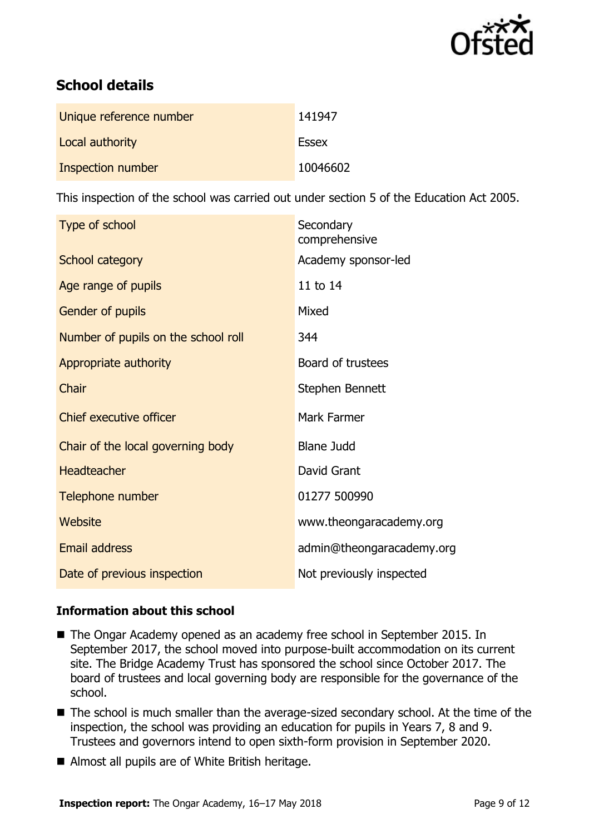

# **School details**

| Unique reference number | 141947       |
|-------------------------|--------------|
| Local authority         | <b>Essex</b> |
| Inspection number       | 10046602     |

This inspection of the school was carried out under section 5 of the Education Act 2005.

| Type of school                      | Secondary<br>comprehensive |
|-------------------------------------|----------------------------|
| School category                     | Academy sponsor-led        |
| Age range of pupils                 | 11 to 14                   |
| Gender of pupils                    | Mixed                      |
| Number of pupils on the school roll | 344                        |
| Appropriate authority               | Board of trustees          |
| Chair                               | Stephen Bennett            |
| <b>Chief executive officer</b>      | Mark Farmer                |
| Chair of the local governing body   | <b>Blane Judd</b>          |
| <b>Headteacher</b>                  | David Grant                |
| Telephone number                    | 01277 500990               |
| Website                             | www.theongaracademy.org    |
| <b>Email address</b>                | admin@theongaracademy.org  |
| Date of previous inspection         | Not previously inspected   |

#### **Information about this school**

- The Ongar Academy opened as an academy free school in September 2015. In September 2017, the school moved into purpose-built accommodation on its current site. The Bridge Academy Trust has sponsored the school since October 2017. The board of trustees and local governing body are responsible for the governance of the school.
- The school is much smaller than the average-sized secondary school. At the time of the inspection, the school was providing an education for pupils in Years 7, 8 and 9. Trustees and governors intend to open sixth-form provision in September 2020.
- Almost all pupils are of White British heritage.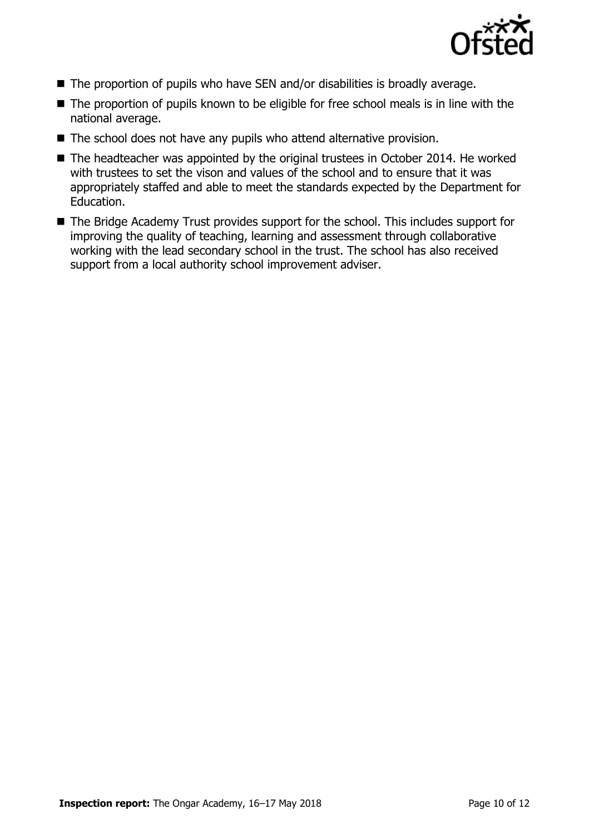

- The proportion of pupils who have SEN and/or disabilities is broadly average.
- The proportion of pupils known to be eligible for free school meals is in line with the national average.
- The school does not have any pupils who attend alternative provision.
- The headteacher was appointed by the original trustees in October 2014. He worked with trustees to set the vison and values of the school and to ensure that it was appropriately staffed and able to meet the standards expected by the Department for Education.
- The Bridge Academy Trust provides support for the school. This includes support for improving the quality of teaching, learning and assessment through collaborative working with the lead secondary school in the trust. The school has also received support from a local authority school improvement adviser.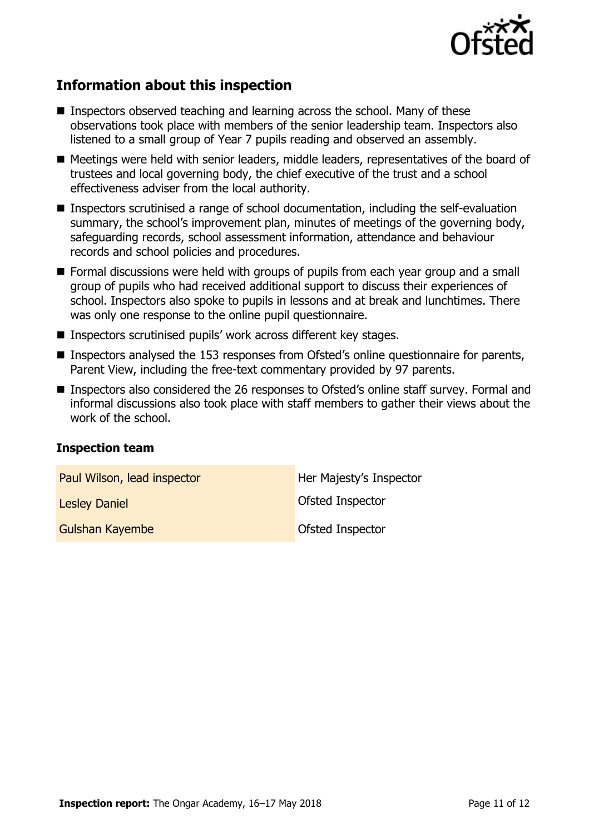

# **Information about this inspection**

- Inspectors observed teaching and learning across the school. Many of these observations took place with members of the senior leadership team. Inspectors also listened to a small group of Year 7 pupils reading and observed an assembly.
- Meetings were held with senior leaders, middle leaders, representatives of the board of trustees and local governing body, the chief executive of the trust and a school effectiveness adviser from the local authority.
- Inspectors scrutinised a range of school documentation, including the self-evaluation summary, the school's improvement plan, minutes of meetings of the governing body, safeguarding records, school assessment information, attendance and behaviour records and school policies and procedures.
- **Formal discussions were held with groups of pupils from each year group and a small** group of pupils who had received additional support to discuss their experiences of school. Inspectors also spoke to pupils in lessons and at break and lunchtimes. There was only one response to the online pupil questionnaire.
- Inspectors scrutinised pupils' work across different key stages.
- Inspectors analysed the 153 responses from Ofsted's online questionnaire for parents, Parent View, including the free-text commentary provided by 97 parents.
- Inspectors also considered the 26 responses to Ofsted's online staff survey. Formal and informal discussions also took place with staff members to gather their views about the work of the school.

#### **Inspection team**

| Paul Wilson, lead inspector | Her Majesty's Inspector |
|-----------------------------|-------------------------|
| <b>Lesley Daniel</b>        | Ofsted Inspector        |
| Gulshan Kayembe             | Ofsted Inspector        |